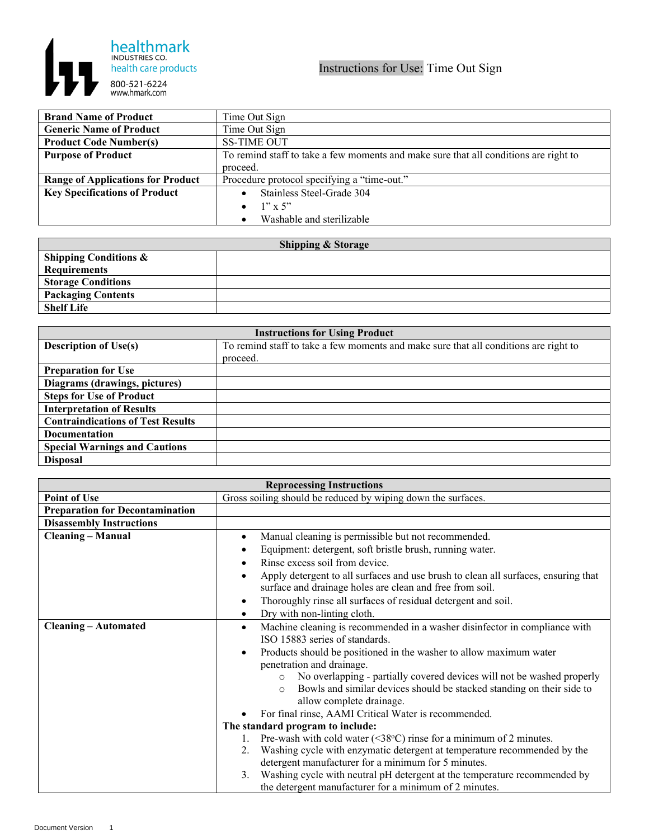

| <b>Brand Name of Product</b>             | Time Out Sign                                                                        |
|------------------------------------------|--------------------------------------------------------------------------------------|
| <b>Generic Name of Product</b>           | Time Out Sign                                                                        |
| <b>Product Code Number(s)</b>            | <b>SS-TIME OUT</b>                                                                   |
| <b>Purpose of Product</b>                | To remind staff to take a few moments and make sure that all conditions are right to |
|                                          | proceed.                                                                             |
| <b>Range of Applications for Product</b> | Procedure protocol specifying a "time-out."                                          |
| <b>Key Specifications of Product</b>     | Stainless Steel-Grade 304                                                            |
|                                          | • $1'' \times 5''$                                                                   |
|                                          | Washable and sterilizable                                                            |

| <b>Shipping &amp; Storage</b>    |  |  |
|----------------------------------|--|--|
| <b>Shipping Conditions &amp;</b> |  |  |
| <b>Requirements</b>              |  |  |
| <b>Storage Conditions</b>        |  |  |
| <b>Packaging Contents</b>        |  |  |
| <b>Shelf Life</b>                |  |  |

| <b>Instructions for Using Product</b>    |                                                                                      |  |
|------------------------------------------|--------------------------------------------------------------------------------------|--|
| <b>Description of Use(s)</b>             | To remind staff to take a few moments and make sure that all conditions are right to |  |
|                                          | proceed.                                                                             |  |
| <b>Preparation for Use</b>               |                                                                                      |  |
| Diagrams (drawings, pictures)            |                                                                                      |  |
| <b>Steps for Use of Product</b>          |                                                                                      |  |
| <b>Interpretation of Results</b>         |                                                                                      |  |
| <b>Contraindications of Test Results</b> |                                                                                      |  |
| <b>Documentation</b>                     |                                                                                      |  |
| <b>Special Warnings and Cautions</b>     |                                                                                      |  |
| <b>Disposal</b>                          |                                                                                      |  |

| <b>Reprocessing Instructions</b>       |                                                                                                                                                                                                                                                                                                                                                                                                                                                                                                                                                                                                                                                                                                                                                                                                                                                                                                      |  |
|----------------------------------------|------------------------------------------------------------------------------------------------------------------------------------------------------------------------------------------------------------------------------------------------------------------------------------------------------------------------------------------------------------------------------------------------------------------------------------------------------------------------------------------------------------------------------------------------------------------------------------------------------------------------------------------------------------------------------------------------------------------------------------------------------------------------------------------------------------------------------------------------------------------------------------------------------|--|
| <b>Point of Use</b>                    | Gross soiling should be reduced by wiping down the surfaces.                                                                                                                                                                                                                                                                                                                                                                                                                                                                                                                                                                                                                                                                                                                                                                                                                                         |  |
| <b>Preparation for Decontamination</b> |                                                                                                                                                                                                                                                                                                                                                                                                                                                                                                                                                                                                                                                                                                                                                                                                                                                                                                      |  |
| <b>Disassembly Instructions</b>        |                                                                                                                                                                                                                                                                                                                                                                                                                                                                                                                                                                                                                                                                                                                                                                                                                                                                                                      |  |
| <b>Cleaning - Manual</b>               | Manual cleaning is permissible but not recommended.<br>٠<br>Equipment: detergent, soft bristle brush, running water.<br>٠<br>Rinse excess soil from device.<br>Apply detergent to all surfaces and use brush to clean all surfaces, ensuring that<br>surface and drainage holes are clean and free from soil.<br>Thoroughly rinse all surfaces of residual detergent and soil.<br>$\bullet$<br>Dry with non-linting cloth.<br>$\bullet$                                                                                                                                                                                                                                                                                                                                                                                                                                                              |  |
| <b>Cleaning - Automated</b>            | Machine cleaning is recommended in a washer disinfector in compliance with<br>$\bullet$<br>ISO 15883 series of standards.<br>Products should be positioned in the washer to allow maximum water<br>penetration and drainage.<br>No overlapping - partially covered devices will not be washed properly<br>$\circ$<br>Bowls and similar devices should be stacked standing on their side to<br>$\Omega$<br>allow complete drainage.<br>For final rinse, AAMI Critical Water is recommended.<br>The standard program to include:<br>1. Pre-wash with cold water (<38 $\degree$ C) rinse for a minimum of 2 minutes.<br>Washing cycle with enzymatic detergent at temperature recommended by the<br>2.<br>detergent manufacturer for a minimum for 5 minutes.<br>3. Washing cycle with neutral pH detergent at the temperature recommended by<br>the detergent manufacturer for a minimum of 2 minutes. |  |